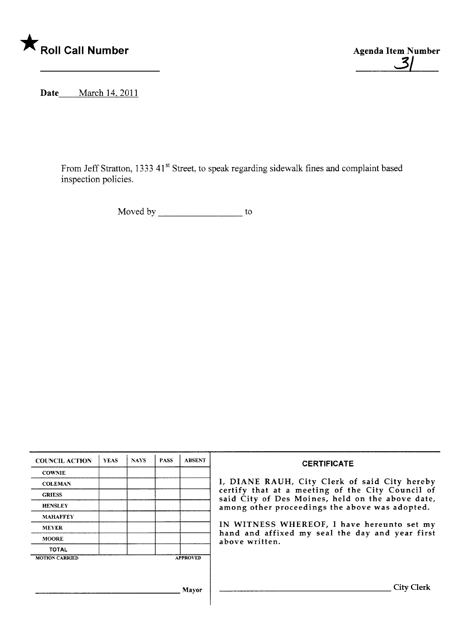

**Agenda Item Number Agenda Item Number Agenda Item Number 3/16 Agenda Item Number 3/16 Agenda Item Number 3/16 Agenda Item Number 3/16 Agenda Item Number 3/16 Agenda Item Number 3/16 Agenda Item Number 3/16 Agenda Item Num** 

Date March 14, 2011

From Jeff Stratton, 1333 41st Street, to speak regarding sidewalk fines and complaint based inspection policies.

Moved by \_\_\_\_\_\_\_\_\_\_\_\_\_\_\_\_\_\_\_\_\_\_\_ to

| <b>COUNCIL ACTION</b>                    | <b>YEAS</b> | <b>NAYS</b> | <b>PASS</b> | <b>ABSENT</b> | <b>CERTIFICATE</b>                                                                                                                                                                                                                                                                                                         |
|------------------------------------------|-------------|-------------|-------------|---------------|----------------------------------------------------------------------------------------------------------------------------------------------------------------------------------------------------------------------------------------------------------------------------------------------------------------------------|
| <b>COWNIE</b>                            |             |             |             |               |                                                                                                                                                                                                                                                                                                                            |
| <b>COLEMAN</b>                           |             |             |             |               | I, DIANE RAUH, City Clerk of said City hereby<br>certify that at a meeting of the City Council of<br>said City of Des Moines, held on the above date,<br>among other proceedings the above was adopted.<br>IN WITNESS WHEREOF, I have hereunto set my<br>hand and affixed my seal the day and year first<br>above written. |
| <b>GRIESS</b>                            |             |             |             |               |                                                                                                                                                                                                                                                                                                                            |
| <b>HENSLEY</b>                           |             |             |             |               |                                                                                                                                                                                                                                                                                                                            |
| <b>MAHAFFEY</b>                          |             |             |             |               |                                                                                                                                                                                                                                                                                                                            |
| <b>MEYER</b>                             |             |             |             |               |                                                                                                                                                                                                                                                                                                                            |
| <b>MOORE</b>                             |             |             |             |               |                                                                                                                                                                                                                                                                                                                            |
| <b>TOTAL</b>                             |             |             |             |               |                                                                                                                                                                                                                                                                                                                            |
| <b>MOTION CARRIED</b><br><b>APPROVED</b> |             |             |             |               |                                                                                                                                                                                                                                                                                                                            |
|                                          |             |             |             |               |                                                                                                                                                                                                                                                                                                                            |
|                                          |             |             |             |               |                                                                                                                                                                                                                                                                                                                            |
| Mayor                                    |             |             |             |               | City Clerk                                                                                                                                                                                                                                                                                                                 |